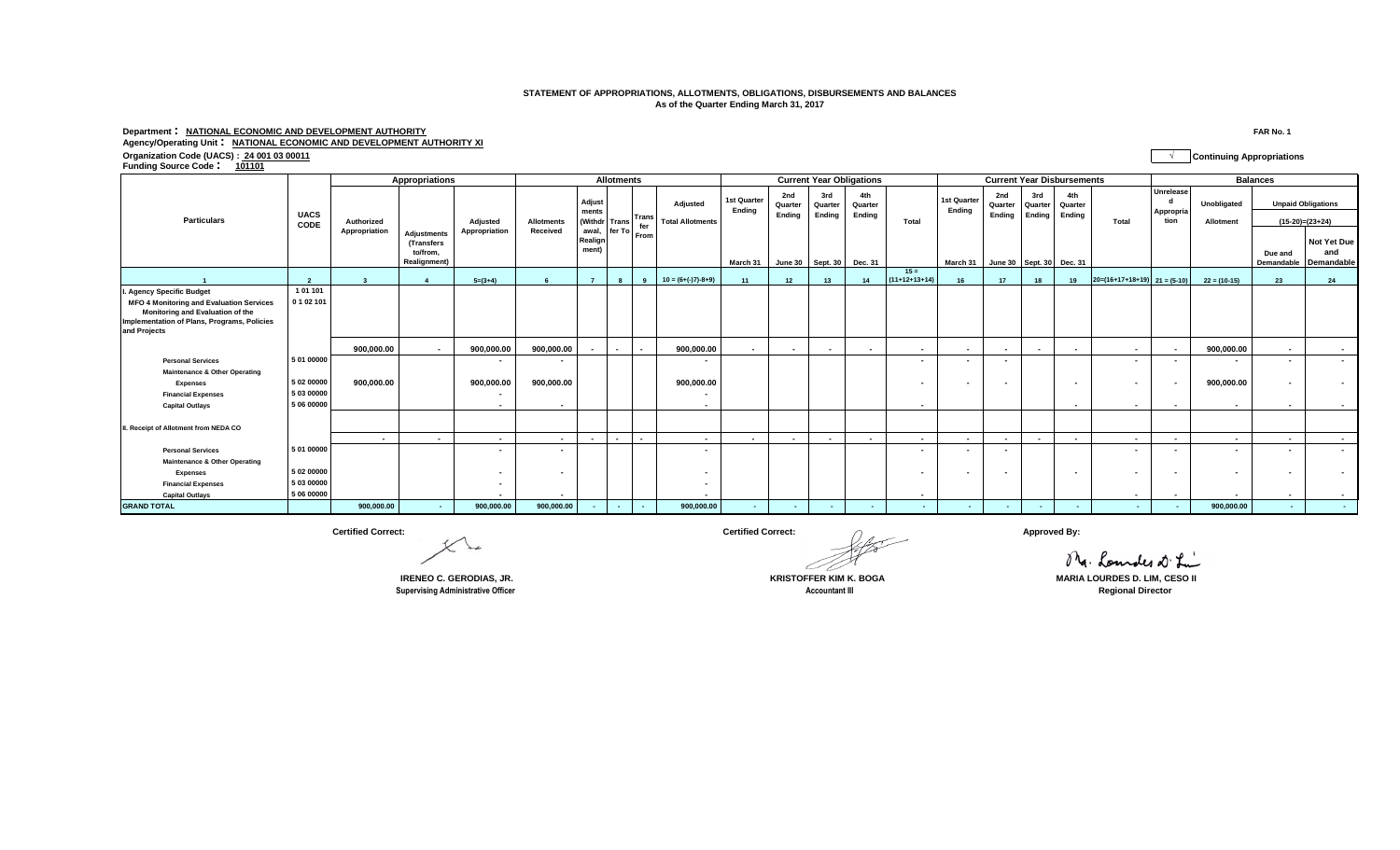## **STATEMENT OF APPROPRIATIONS, ALLOTMENTS, OBLIGATIONS, DISBURSEMENTS AND BALANCES As of the Quarter Ending March 31, 2017**

## **Department : NATIONAL ECONOMIC AND DEVELOPMENT AUTHORITY FAR No. 1**

## **Agency/Operating Unit : NATIONAL ECONOMIC AND DEVELOPMENT AUTHORITY XI**

**Organization Code (UACS) : 24 001 03 00011 √ Continuing Appropriations Funding Source Code : <sup>101101</sup>**

|                                                                                                                                                    |                     | Appropriations | <b>Allotments</b>                                                   |                          |                          |                                                               |  | <b>Current Year Obligations</b> |                                            |                       |                          |                          | <b>Current Year Disbursements</b> |                           |                       |                          |                          |                          | <b>Balances</b>                |                                |                                 |                       |                                                |
|----------------------------------------------------------------------------------------------------------------------------------------------------|---------------------|----------------|---------------------------------------------------------------------|--------------------------|--------------------------|---------------------------------------------------------------|--|---------------------------------|--------------------------------------------|-----------------------|--------------------------|--------------------------|-----------------------------------|---------------------------|-----------------------|--------------------------|--------------------------|--------------------------|--------------------------------|--------------------------------|---------------------------------|-----------------------|------------------------------------------------|
| <b>Particulars</b>                                                                                                                                 | <b>UACS</b><br>CODE | Authorized     |                                                                     | Adjusted                 | <b>Allotments</b>        | Adjust<br>ments<br>(Withdr Trans                              |  | Trans                           | <b>Adiusted</b><br><b>Total Allotments</b> | 1st Quarter<br>Endina | 2nd<br>Quarter<br>Ending | 3rd<br>Quarter<br>Ending | 4th<br>Quarter<br>Ending          | Total                     | 1st Quarter<br>Endina | 2nd<br>Quarter<br>Ending | 3rd<br>Quarter<br>Ending | 4th<br>Quarter<br>Endina | Total                          | Unrelease<br>Appropria<br>tion | <b>Unobligated</b><br>Allotment |                       | <b>Unpaid Obligations</b><br>$(15-20)=(23+24)$ |
|                                                                                                                                                    |                     | Appropriation  | <b>Adjustments</b><br>(Transfers<br>to/from.<br><b>Realignment)</b> | Appropriation            | Received                 | awal, $\left  \text{fer To} \right $ From<br>Realign<br>ment) |  |                                 |                                            | March 31              |                          | June 30 Sept. 30         | <b>Dec. 31</b>                    |                           | March 31              | June 30 Sept. 30 Dec. 31 |                          |                          |                                |                                |                                 | Due and<br>Demandable | Not Yet Due<br>and<br>Demandable               |
|                                                                                                                                                    |                     |                |                                                                     | $5=(3+4)$                |                          | - 7                                                           |  |                                 | $10 = (6+(-17)-8+9)$                       | 11                    | 12                       | 13                       | 14                                | $15 =$<br>$(11+12+13+14)$ |                       | 17                       | 18                       | 19                       | $20=(16+17+18+19)$ $21=(5-10)$ |                                | $22 = (10-15)$                  | 23                    | 24                                             |
| I. Agency Specific Budget                                                                                                                          | 101101              |                |                                                                     |                          |                          |                                                               |  |                                 |                                            |                       |                          |                          |                                   |                           |                       |                          |                          |                          |                                |                                |                                 |                       |                                                |
| <b>MFO 4 Monitoring and Evaluation Services</b><br>Monitoring and Evaluation of the<br>Implementation of Plans, Programs, Policies<br>and Projects | 0 1 0 2 1 0 1       |                |                                                                     |                          |                          |                                                               |  |                                 |                                            |                       |                          |                          |                                   |                           |                       |                          |                          |                          |                                |                                |                                 |                       |                                                |
|                                                                                                                                                    |                     | 900.000.00     | $\sim$                                                              | 900.000.00               | 900.000.00               |                                                               |  |                                 | 900.000.00                                 | $\sim$                | $\overline{\phantom{a}}$ | $\overline{\phantom{a}}$ | $\overline{\phantom{a}}$          | $\sim$                    | $\sim$                | $\overline{\phantom{a}}$ | $\sim$                   |                          | $\overline{\phantom{a}}$       | $\overline{\phantom{a}}$       | 900,000.00                      | $\sim$                | $\sim$                                         |
| <b>Personal Services</b>                                                                                                                           | 5 01 00000          |                |                                                                     |                          |                          |                                                               |  |                                 |                                            |                       |                          |                          |                                   |                           | $\sim$                |                          |                          |                          | $\overline{\phantom{a}}$       |                                |                                 |                       |                                                |
| <b>Maintenance &amp; Other Operating</b>                                                                                                           |                     |                |                                                                     |                          |                          |                                                               |  |                                 |                                            |                       |                          |                          |                                   |                           |                       |                          |                          |                          |                                |                                |                                 |                       |                                                |
| <b>Expenses</b>                                                                                                                                    | 5 02 00000          | 900,000.00     |                                                                     | 900,000.00               | 900,000.00               |                                                               |  |                                 | 900,000.00                                 |                       |                          |                          |                                   | $\overline{\phantom{a}}$  | $\sim$                |                          |                          | $\overline{\phantom{a}}$ | $\overline{\phantom{a}}$       |                                | 900,000.00                      |                       |                                                |
| <b>Financial Expenses</b>                                                                                                                          | 5 03 00000          |                |                                                                     | $\overline{\phantom{a}}$ |                          |                                                               |  |                                 | $\blacksquare$                             |                       |                          |                          |                                   |                           |                       |                          |                          |                          |                                |                                |                                 |                       |                                                |
| <b>Capital Outlays</b>                                                                                                                             | 5 06 00000          |                |                                                                     |                          |                          |                                                               |  |                                 |                                            |                       |                          |                          |                                   | $\overline{\phantom{a}}$  |                       |                          |                          |                          | $\overline{\phantom{a}}$       |                                |                                 |                       |                                                |
| II. Receipt of Allotment from NEDA CO                                                                                                              |                     |                |                                                                     |                          |                          |                                                               |  |                                 |                                            |                       |                          |                          |                                   |                           |                       |                          |                          |                          |                                |                                |                                 |                       |                                                |
|                                                                                                                                                    |                     | $\sim$         | $\sim$                                                              | $\overline{\phantom{a}}$ | $\overline{\phantom{a}}$ | $\sim$                                                        |  |                                 | $\overline{\phantom{a}}$                   | $\sim$                | $\overline{a}$           | $\sim$                   | $\sim$                            | $\sim$                    | $\sim$                | $\sim$                   | $\overline{a}$           | $\overline{\phantom{a}}$ | $\blacksquare$                 | $\sim$                         | $\sim$                          | $\sim$                | $\sim$ 100 $\mu$                               |
| <b>Personal Services</b>                                                                                                                           | 5 01 00000          |                |                                                                     | $\blacksquare$           |                          |                                                               |  |                                 | $\blacksquare$                             |                       |                          |                          |                                   | $\overline{\phantom{a}}$  | $\sim$                |                          |                          |                          | $\overline{\phantom{a}}$       | $\blacksquare$                 | $\sim$                          |                       | $\overline{\phantom{a}}$                       |
| <b>Maintenance &amp; Other Operating</b>                                                                                                           |                     |                |                                                                     |                          |                          |                                                               |  |                                 |                                            |                       |                          |                          |                                   |                           |                       |                          |                          |                          |                                |                                |                                 |                       |                                                |
| <b>Expenses</b>                                                                                                                                    | 5 02 00000          |                |                                                                     |                          | $\blacksquare$           |                                                               |  |                                 | $\blacksquare$                             |                       |                          |                          |                                   | $\overline{\phantom{a}}$  | $\sim$                | $\overline{\phantom{a}}$ |                          | $\overline{\phantom{a}}$ | $\overline{\phantom{a}}$       | $\sim$                         | $\sim$                          |                       |                                                |
| <b>Financial Expenses</b>                                                                                                                          | 5 03 00000          |                |                                                                     | $\overline{\phantom{a}}$ |                          |                                                               |  |                                 | $\blacksquare$                             |                       |                          |                          |                                   |                           |                       |                          |                          |                          |                                |                                |                                 |                       |                                                |
| <b>Capital Outlays</b>                                                                                                                             | 5 06 00000          |                |                                                                     |                          |                          |                                                               |  |                                 | $\blacksquare$                             |                       |                          |                          |                                   | $\sim$                    |                       |                          |                          |                          | $\sim$                         | $\overline{\phantom{a}}$       |                                 |                       |                                                |
| <b>GRAND TOTAL</b>                                                                                                                                 |                     | 900,000.00     | <b>Section</b>                                                      | 900,000.00               | 900,000.00               |                                                               |  |                                 | 900,000.00                                 | $\sim$                | ۰.                       | $\sim$                   |                                   | $\sim$                    | <b>Section</b>        |                          |                          |                          |                                |                                | 900,000.00                      | ۰.                    |                                                |

**Rupervising Administrative Officer Accountant III** Accountant III Accountant III Accountant III Regional Director

**Certified Correct: Certified Correct: Approved By:**

Mg. Loundes at Li **IRENEO C. GERODIAS, JR. KRISTOFFER KIM K. BOGA MARIA LOURDES D. LIM, CESO II**